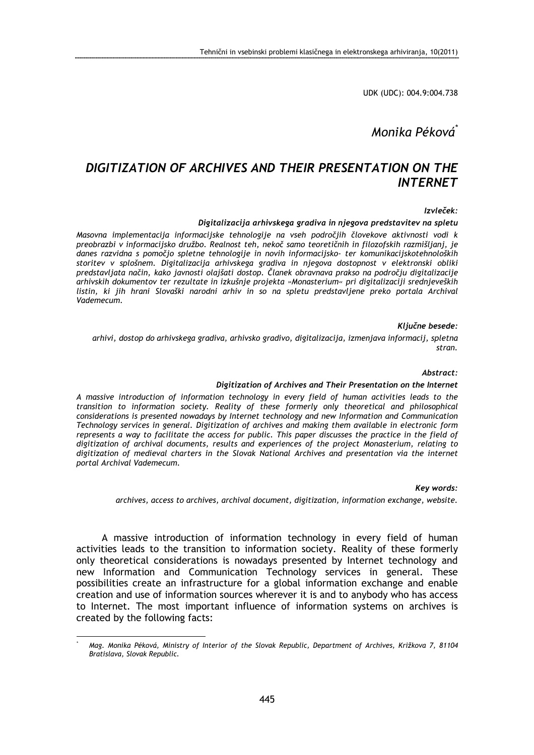UDK (UDC): 004.9:004.738

# Monika Péková\*

## DIGITIZATION OF ARCHIVES AND THEIR PRESENTATION ON THE INTERNET

## Izvleček:

### Digitalizacija arhivskega gradiva in njegova predstavitev na spletu

Masovna implementacija informacijske tehnologije na vseh področjih človekove aktivnosti vodi k preobrazbi v informacijsko družbo. Realnost teh, nekoč samo teoretičnih in filozofskih razmišljanj, je danes razvidna s pomočjo spletne tehnologije in novih informacijsko- ter komunikacijskotehnoloških storitev v splošnem. Digitalizacija arhivskega gradiva in njegova dostopnost v elektronski obliki predstavljata način, kako javnosti olajšati dostop. Članek obravnava prakso na področju digitalizacije arhivskih dokumentov ter rezultate in izkušnje projekta »Monasterium« pri digitalizaciji srednjeveških listin, ki jih hrani Slovaški narodni arhiv in so na spletu predstavljene preko portala Archival Vademecum.

### Ključne besede:

arhivi, dostop do arhivskega gradiva, arhivsko gradivo, digitalizacija, izmenjava informacij, spletna stran.

#### Abstract:

### Digitization of Archives and Their Presentation on the Internet

A massive introduction of information technology in every field of human activities leads to the transition to information society. Reality of these formerly only theoretical and philosophical considerations is presented nowadays by Internet technology and new Information and Communication Technology services in general. Digitization of archives and making them available in electronic form represents a way to facilitate the access for public. This paper discusses the practice in the field of digitization of archival documents, results and experiences of the project Monasterium, relating to digitization of medieval charters in the Slovak National Archives and presentation via the internet portal Archival Vademecum.

## Key words:

archives, access to archives, archival document, digitization, information exchange, website.

A massive introduction of information technology in every field of human activities leads to the transition to information society. Reality of these formerly only theoretical considerations is nowadays presented by Internet technology and new Information and Communication Technology services in general. These possibilities create an infrastructure for a global information exchange and enable creation and use of information sources wherever it is and to anybody who has access to Internet. The most important influence of information systems on archives is created by the following facts:

 $\overline{a}$ \*

Mag. Monika Péková, Ministry of Interior of the Slovak Republic, Department of Archives, Križkova 7, 81104 Bratislava, Slovak Republic.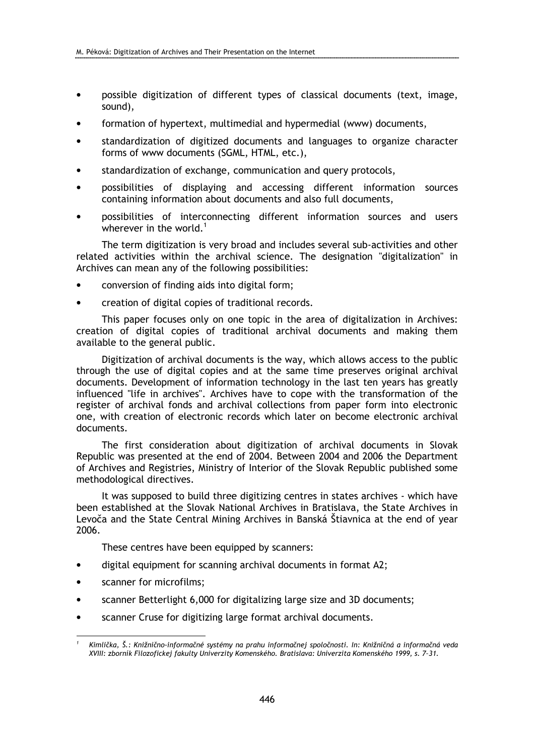- possible digitization of different types of classical documents (text, image, sound),
- formation of hypertext, multimedial and hypermedial (www) documents,
- standardization of digitized documents and languages to organize character forms of www documents (SGML, HTML, etc.),
- standardization of exchange, communication and query protocols,
- possibilities of displaying and accessing different information sources containing information about documents and also full documents,
- possibilities of interconnecting different information sources and users wherever in the world.<sup>1</sup>

The term digitization is very broad and includes several sub-activities and other related activities within the archival science. The designation "digitalization" in Archives can mean any of the following possibilities:

- conversion of finding aids into digital form;
- creation of digital copies of traditional records.

This paper focuses only on one topic in the area of digitalization in Archives: creation of digital copies of traditional archival documents and making them available to the general public.

Digitization of archival documents is the way, which allows access to the public through the use of digital copies and at the same time preserves original archival documents. Development of information technology in the last ten years has greatly influenced "life in archives". Archives have to cope with the transformation of the register of archival fonds and archival collections from paper form into electronic one, with creation of electronic records which later on become electronic archival documents.

The first consideration about digitization of archival documents in Slovak Republic was presented at the end of 2004. Between 2004 and 2006 the Department of Archives and Registries, Ministry of Interior of the Slovak Republic published some methodological directives.

It was supposed to build three digitizing centres in states archives - which have been established at the Slovak National Archives in Bratislava, the State Archives in Levoča and the State Central Mining Archives in Banská Štiavnica at the end of year 2006.

These centres have been equipped by scanners:

- digital equipment for scanning archival documents in format A2;
- scanner for microfilms:

 $\overline{a}$ 

- scanner Betterlight 6,000 for digitalizing large size and 3D documents;
- scanner Cruse for digitizing large format archival documents.

<sup>1</sup> Kimlička, Š.: Knižnično-informačné systémy na prahu informačnej spoločnosti. In: Knižničná a informačná veda XVIII: zborník Filozofickej fakulty Univerzity Komenského. Bratislava: Univerzita Komenského 1999, s. 7–31.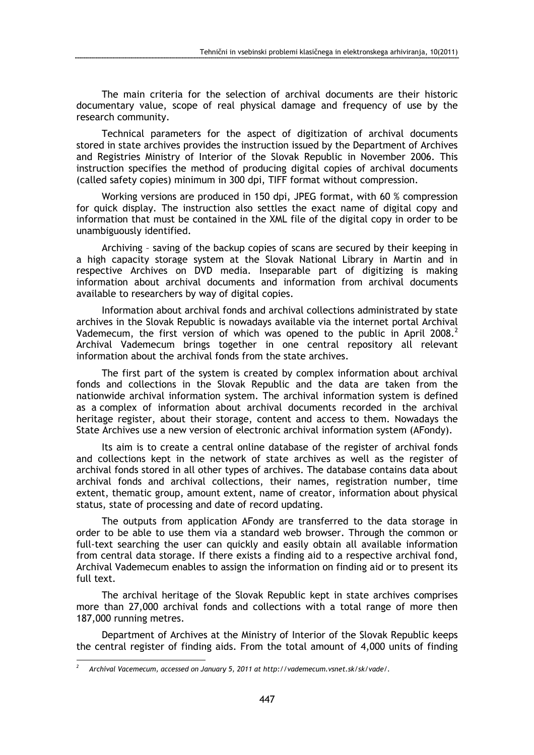The main criteria for the selection of archival documents are their historic documentary value, scope of real physical damage and frequency of use by the research community.

Technical parameters for the aspect of digitization of archival documents stored in state archives provides the instruction issued by the Department of Archives and Registries Ministry of Interior of the Slovak Republic in November 2006. This instruction specifies the method of producing digital copies of archival documents (called safety copies) minimum in 300 dpi, TIFF format without compression.

Working versions are produced in 150 dpi, JPEG format, with 60 % compression for quick display. The instruction also settles the exact name of digital copy and information that must be contained in the XML file of the digital copy in order to be unambiguously identified.

Archiving – saving of the backup copies of scans are secured by their keeping in a high capacity storage system at the Slovak National Library in Martin and in respective Archives on DVD media. Inseparable part of digitizing is making information about archival documents and information from archival documents available to researchers by way of digital copies.

Information about archival fonds and archival collections administrated by state archives in the Slovak Republic is nowadays available via the internet portal Archival Vademecum, the first version of which was opened to the public in April 2008.<sup>2</sup> Archival Vademecum brings together in one central repository all relevant information about the archival fonds from the state archives.

The first part of the system is created by complex information about archival fonds and collections in the Slovak Republic and the data are taken from the nationwide archival information system. The archival information system is defined as a complex of information about archival documents recorded in the archival heritage register, about their storage, content and access to them. Nowadays the State Archives use a new version of electronic archival information system (AFondy).

Its aim is to create a central online database of the register of archival fonds and collections kept in the network of state archives as well as the register of archival fonds stored in all other types of archives. The database contains data about archival fonds and archival collections, their names, registration number, time extent, thematic group, amount extent, name of creator, information about physical status, state of processing and date of record updating.

The outputs from application AFondy are transferred to the data storage in order to be able to use them via a standard web browser. Through the common or full-text searching the user can quickly and easily obtain all available information from central data storage. If there exists a finding aid to a respective archival fond, Archival Vademecum enables to assign the information on finding aid or to present its full text.

The archival heritage of the Slovak Republic kept in state archives comprises more than 27,000 archival fonds and collections with a total range of more then 187,000 running metres.

Department of Archives at the Ministry of Interior of the Slovak Republic keeps the central register of finding aids. From the total amount of 4,000 units of finding  $\overline{a}$ 

<sup>2</sup> Archival Vacemecum, accessed on January 5, 2011 at http://vademecum.vsnet.sk/sk/vade/.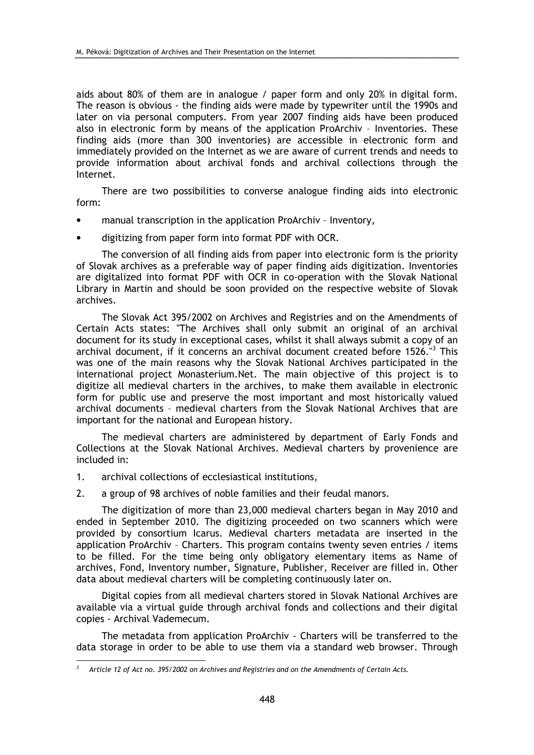aids about 80% of them are in analogue / paper form and only 20% in digital form. The reason is obvious - the finding aids were made by typewriter until the 1990s and later on via personal computers. From year 2007 finding aids have been produced also in electronic form by means of the application ProArchiv – Inventories. These finding aids (more than 300 inventories) are accessible in electronic form and immediately provided on the Internet as we are aware of current trends and needs to provide information about archival fonds and archival collections through the Internet.

There are two possibilities to converse analogue finding aids into electronic form:

- manual transcription in the application ProArchiv Inventory,
- digitizing from paper form into format PDF with OCR.

The conversion of all finding aids from paper into electronic form is the priority of Slovak archives as a preferable way of paper finding aids digitization. Inventories are digitalized into format PDF with OCR in co-operation with the Slovak National Library in Martin and should be soon provided on the respective website of Slovak archives.

The Slovak Act 395/2002 on Archives and Registries and on the Amendments of Certain Acts states: "The Archives shall only submit an original of an archival document for its study in exceptional cases, whilst it shall always submit a copy of an archival document, if it concerns an archival document created before 1526."<sup>3</sup> This was one of the main reasons why the Slovak National Archives participated in the international project Monasterium.Net. The main objective of this project is to digitize all medieval charters in the archives, to make them available in electronic form for public use and preserve the most important and most historically valued archival documents – medieval charters from the Slovak National Archives that are important for the national and European history.

The medieval charters are administered by department of Early Fonds and Collections at the Slovak National Archives. Medieval charters by provenience are included in:

- 1. archival collections of ecclesiastical institutions,
- 2. a group of 98 archives of noble families and their feudal manors.

The digitization of more than 23,000 medieval charters began in May 2010 and ended in September 2010. The digitizing proceeded on two scanners which were provided by consortium Icarus. Medieval charters metadata are inserted in the application ProArchiv – Charters. This program contains twenty seven entries / items to be filled. For the time being only obligatory elementary items as Name of archives, Fond, Inventory number, Signature, Publisher, Receiver are filled in. Other data about medieval charters will be completing continuously later on.

Digital copies from all medieval charters stored in Slovak National Archives are available via a virtual guide through archival fonds and collections and their digital copies - Archival Vademecum.

The metadata from application ProArchiv - Charters will be transferred to the data storage in order to be able to use them via a standard web browser. Through  $\overline{a}$ 

<sup>3</sup> Article 12 of Act no. 395/2002 on Archives and Registries and on the Amendments of Certain Acts.